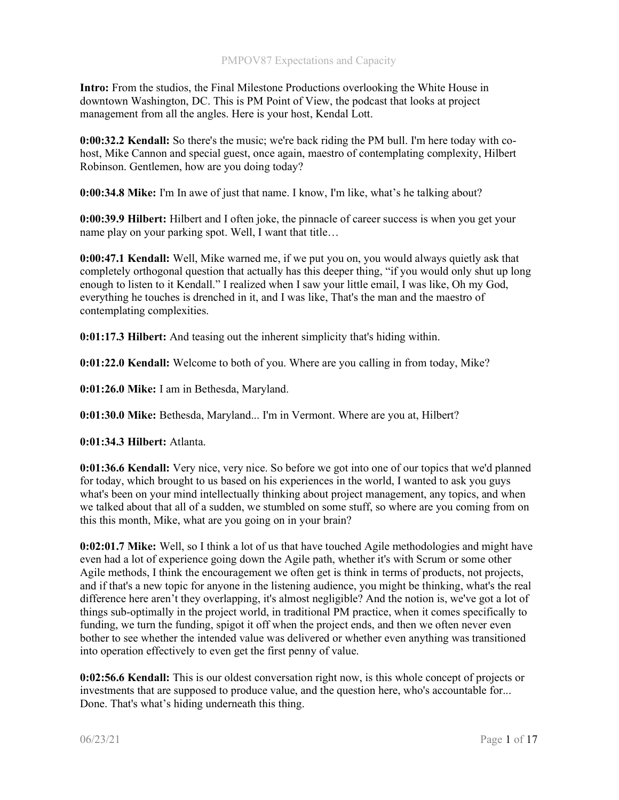Intro: From the studios, the Final Milestone Productions overlooking the White House in downtown Washington, DC. This is PM Point of View, the podcast that looks at project management from all the angles. Here is your host, Kendal Lott.

0:00:32.2 Kendall: So there's the music; we're back riding the PM bull. I'm here today with cohost, Mike Cannon and special guest, once again, maestro of contemplating complexity, Hilbert Robinson. Gentlemen, how are you doing today?

0:00:34.8 Mike: I'm In awe of just that name. I know, I'm like, what's he talking about?

0:00:39.9 Hilbert: Hilbert and I often joke, the pinnacle of career success is when you get your name play on your parking spot. Well, I want that title…

0:00:47.1 Kendall: Well, Mike warned me, if we put you on, you would always quietly ask that completely orthogonal question that actually has this deeper thing, "if you would only shut up long enough to listen to it Kendall." I realized when I saw your little email, I was like, Oh my God, everything he touches is drenched in it, and I was like, That's the man and the maestro of contemplating complexities.

0:01:17.3 Hilbert: And teasing out the inherent simplicity that's hiding within.

0:01:22.0 Kendall: Welcome to both of you. Where are you calling in from today, Mike?

0:01:26.0 Mike: I am in Bethesda, Maryland.

0:01:30.0 Mike: Bethesda, Maryland... I'm in Vermont. Where are you at, Hilbert?

0:01:34.3 Hilbert: Atlanta.

0:01:36.6 Kendall: Very nice, very nice. So before we got into one of our topics that we'd planned for today, which brought to us based on his experiences in the world, I wanted to ask you guys what's been on your mind intellectually thinking about project management, any topics, and when we talked about that all of a sudden, we stumbled on some stuff, so where are you coming from on this this month, Mike, what are you going on in your brain?

0:02:01.7 Mike: Well, so I think a lot of us that have touched Agile methodologies and might have even had a lot of experience going down the Agile path, whether it's with Scrum or some other Agile methods, I think the encouragement we often get is think in terms of products, not projects, and if that's a new topic for anyone in the listening audience, you might be thinking, what's the real difference here aren't they overlapping, it's almost negligible? And the notion is, we've got a lot of things sub-optimally in the project world, in traditional PM practice, when it comes specifically to funding, we turn the funding, spigot it off when the project ends, and then we often never even bother to see whether the intended value was delivered or whether even anything was transitioned into operation effectively to even get the first penny of value.

0:02:56.6 Kendall: This is our oldest conversation right now, is this whole concept of projects or investments that are supposed to produce value, and the question here, who's accountable for... Done. That's what's hiding underneath this thing.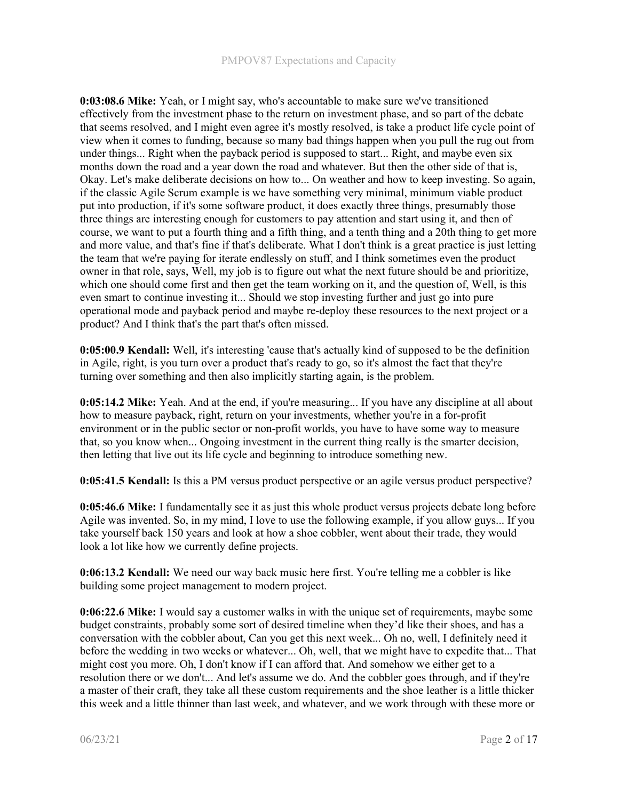0:03:08.6 Mike: Yeah, or I might say, who's accountable to make sure we've transitioned effectively from the investment phase to the return on investment phase, and so part of the debate that seems resolved, and I might even agree it's mostly resolved, is take a product life cycle point of view when it comes to funding, because so many bad things happen when you pull the rug out from under things... Right when the payback period is supposed to start... Right, and maybe even six months down the road and a year down the road and whatever. But then the other side of that is, Okay. Let's make deliberate decisions on how to... On weather and how to keep investing. So again, if the classic Agile Scrum example is we have something very minimal, minimum viable product put into production, if it's some software product, it does exactly three things, presumably those three things are interesting enough for customers to pay attention and start using it, and then of course, we want to put a fourth thing and a fifth thing, and a tenth thing and a 20th thing to get more and more value, and that's fine if that's deliberate. What I don't think is a great practice is just letting the team that we're paying for iterate endlessly on stuff, and I think sometimes even the product owner in that role, says, Well, my job is to figure out what the next future should be and prioritize, which one should come first and then get the team working on it, and the question of, Well, is this even smart to continue investing it... Should we stop investing further and just go into pure operational mode and payback period and maybe re-deploy these resources to the next project or a product? And I think that's the part that's often missed.

0:05:00.9 Kendall: Well, it's interesting 'cause that's actually kind of supposed to be the definition in Agile, right, is you turn over a product that's ready to go, so it's almost the fact that they're turning over something and then also implicitly starting again, is the problem.

0:05:14.2 Mike: Yeah. And at the end, if you're measuring... If you have any discipline at all about how to measure payback, right, return on your investments, whether you're in a for-profit environment or in the public sector or non-profit worlds, you have to have some way to measure that, so you know when... Ongoing investment in the current thing really is the smarter decision, then letting that live out its life cycle and beginning to introduce something new.

0:05:41.5 Kendall: Is this a PM versus product perspective or an agile versus product perspective?

0:05:46.6 Mike: I fundamentally see it as just this whole product versus projects debate long before Agile was invented. So, in my mind, I love to use the following example, if you allow guys... If you take yourself back 150 years and look at how a shoe cobbler, went about their trade, they would look a lot like how we currently define projects.

0:06:13.2 Kendall: We need our way back music here first. You're telling me a cobbler is like building some project management to modern project.

0:06:22.6 Mike: I would say a customer walks in with the unique set of requirements, maybe some budget constraints, probably some sort of desired timeline when they'd like their shoes, and has a conversation with the cobbler about, Can you get this next week... Oh no, well, I definitely need it before the wedding in two weeks or whatever... Oh, well, that we might have to expedite that... That might cost you more. Oh, I don't know if I can afford that. And somehow we either get to a resolution there or we don't... And let's assume we do. And the cobbler goes through, and if they're a master of their craft, they take all these custom requirements and the shoe leather is a little thicker this week and a little thinner than last week, and whatever, and we work through with these more or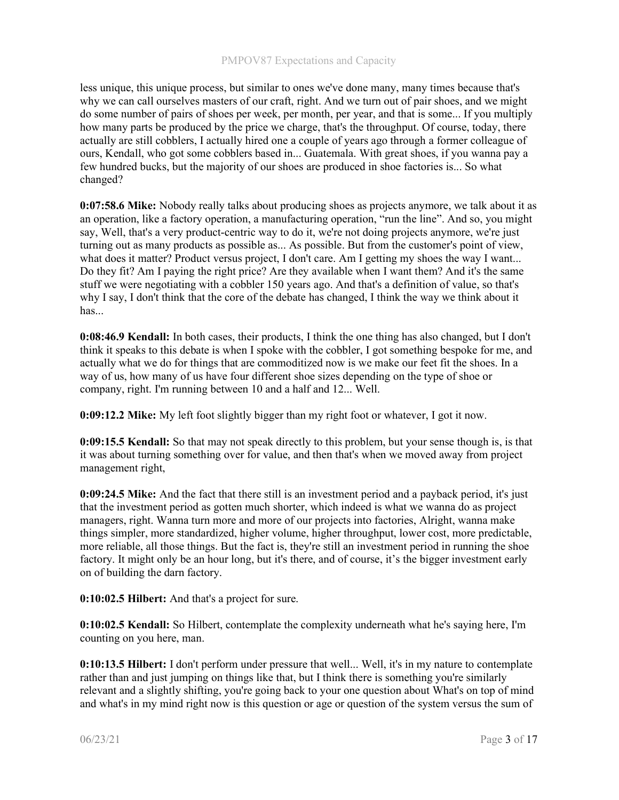less unique, this unique process, but similar to ones we've done many, many times because that's why we can call ourselves masters of our craft, right. And we turn out of pair shoes, and we might do some number of pairs of shoes per week, per month, per year, and that is some... If you multiply how many parts be produced by the price we charge, that's the throughput. Of course, today, there actually are still cobblers, I actually hired one a couple of years ago through a former colleague of ours, Kendall, who got some cobblers based in... Guatemala. With great shoes, if you wanna pay a few hundred bucks, but the majority of our shoes are produced in shoe factories is... So what changed?

0:07:58.6 Mike: Nobody really talks about producing shoes as projects anymore, we talk about it as an operation, like a factory operation, a manufacturing operation, "run the line". And so, you might say, Well, that's a very product-centric way to do it, we're not doing projects anymore, we're just turning out as many products as possible as... As possible. But from the customer's point of view, what does it matter? Product versus project, I don't care. Am I getting my shoes the way I want... Do they fit? Am I paying the right price? Are they available when I want them? And it's the same stuff we were negotiating with a cobbler 150 years ago. And that's a definition of value, so that's why I say, I don't think that the core of the debate has changed, I think the way we think about it has...

0:08:46.9 Kendall: In both cases, their products, I think the one thing has also changed, but I don't think it speaks to this debate is when I spoke with the cobbler, I got something bespoke for me, and actually what we do for things that are commoditized now is we make our feet fit the shoes. In a way of us, how many of us have four different shoe sizes depending on the type of shoe or company, right. I'm running between 10 and a half and 12... Well.

0:09:12.2 Mike: My left foot slightly bigger than my right foot or whatever, I got it now.

0:09:15.5 Kendall: So that may not speak directly to this problem, but your sense though is, is that it was about turning something over for value, and then that's when we moved away from project management right,

0:09:24.5 Mike: And the fact that there still is an investment period and a payback period, it's just that the investment period as gotten much shorter, which indeed is what we wanna do as project managers, right. Wanna turn more and more of our projects into factories, Alright, wanna make things simpler, more standardized, higher volume, higher throughput, lower cost, more predictable, more reliable, all those things. But the fact is, they're still an investment period in running the shoe factory. It might only be an hour long, but it's there, and of course, it's the bigger investment early on of building the darn factory.

0:10:02.5 Hilbert: And that's a project for sure.

0:10:02.5 Kendall: So Hilbert, contemplate the complexity underneath what he's saying here, I'm counting on you here, man.

0:10:13.5 Hilbert: I don't perform under pressure that well... Well, it's in my nature to contemplate rather than and just jumping on things like that, but I think there is something you're similarly relevant and a slightly shifting, you're going back to your one question about What's on top of mind and what's in my mind right now is this question or age or question of the system versus the sum of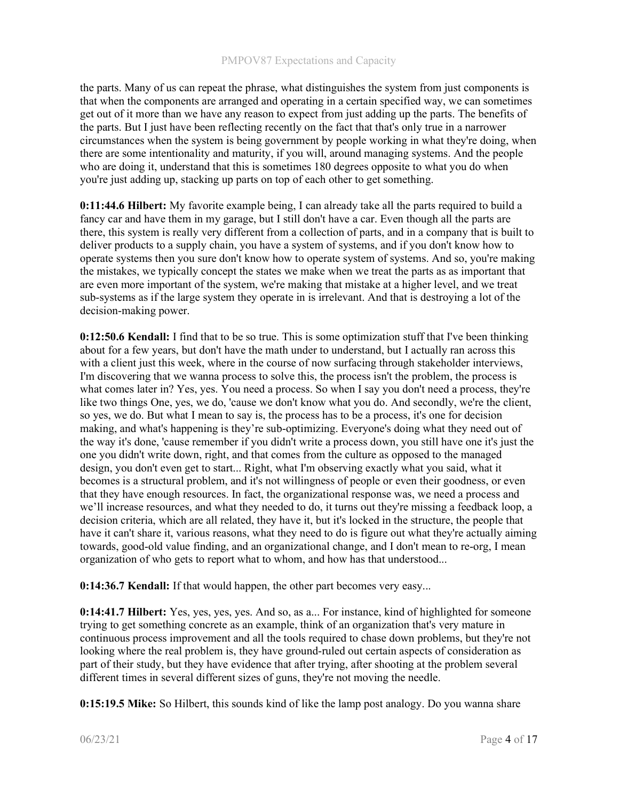the parts. Many of us can repeat the phrase, what distinguishes the system from just components is that when the components are arranged and operating in a certain specified way, we can sometimes get out of it more than we have any reason to expect from just adding up the parts. The benefits of the parts. But I just have been reflecting recently on the fact that that's only true in a narrower circumstances when the system is being government by people working in what they're doing, when there are some intentionality and maturity, if you will, around managing systems. And the people who are doing it, understand that this is sometimes 180 degrees opposite to what you do when you're just adding up, stacking up parts on top of each other to get something.

0:11:44.6 Hilbert: My favorite example being, I can already take all the parts required to build a fancy car and have them in my garage, but I still don't have a car. Even though all the parts are there, this system is really very different from a collection of parts, and in a company that is built to deliver products to a supply chain, you have a system of systems, and if you don't know how to operate systems then you sure don't know how to operate system of systems. And so, you're making the mistakes, we typically concept the states we make when we treat the parts as as important that are even more important of the system, we're making that mistake at a higher level, and we treat sub-systems as if the large system they operate in is irrelevant. And that is destroying a lot of the decision-making power.

0:12:50.6 Kendall: I find that to be so true. This is some optimization stuff that I've been thinking about for a few years, but don't have the math under to understand, but I actually ran across this with a client just this week, where in the course of now surfacing through stakeholder interviews, I'm discovering that we wanna process to solve this, the process isn't the problem, the process is what comes later in? Yes, yes. You need a process. So when I say you don't need a process, they're like two things One, yes, we do, 'cause we don't know what you do. And secondly, we're the client, so yes, we do. But what I mean to say is, the process has to be a process, it's one for decision making, and what's happening is they're sub-optimizing. Everyone's doing what they need out of the way it's done, 'cause remember if you didn't write a process down, you still have one it's just the one you didn't write down, right, and that comes from the culture as opposed to the managed design, you don't even get to start... Right, what I'm observing exactly what you said, what it becomes is a structural problem, and it's not willingness of people or even their goodness, or even that they have enough resources. In fact, the organizational response was, we need a process and we'll increase resources, and what they needed to do, it turns out they're missing a feedback loop, a decision criteria, which are all related, they have it, but it's locked in the structure, the people that have it can't share it, various reasons, what they need to do is figure out what they're actually aiming towards, good-old value finding, and an organizational change, and I don't mean to re-org, I mean organization of who gets to report what to whom, and how has that understood...

0:14:36.7 Kendall: If that would happen, the other part becomes very easy...

0:14:41.7 Hilbert: Yes, yes, yes, yes. And so, as a... For instance, kind of highlighted for someone trying to get something concrete as an example, think of an organization that's very mature in continuous process improvement and all the tools required to chase down problems, but they're not looking where the real problem is, they have ground-ruled out certain aspects of consideration as part of their study, but they have evidence that after trying, after shooting at the problem several different times in several different sizes of guns, they're not moving the needle.

0:15:19.5 Mike: So Hilbert, this sounds kind of like the lamp post analogy. Do you wanna share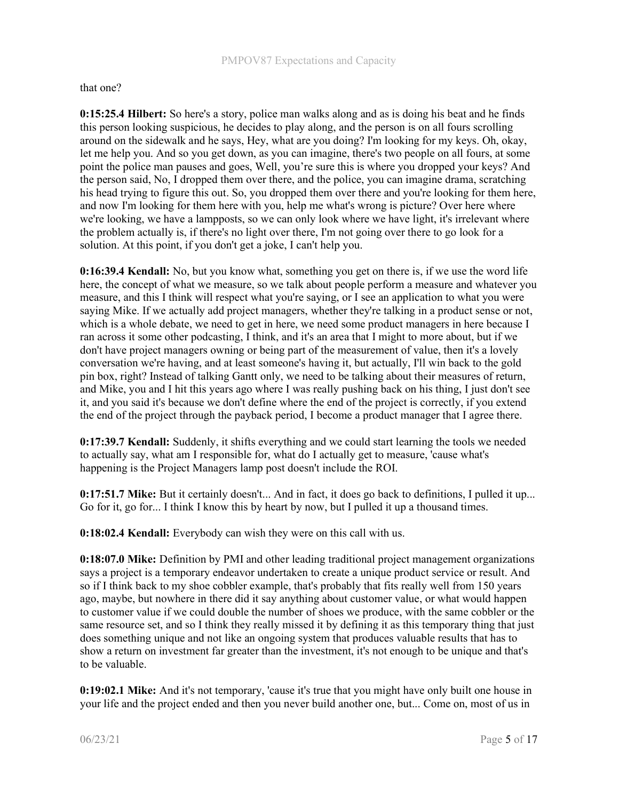### that one?

0:15:25.4 Hilbert: So here's a story, police man walks along and as is doing his beat and he finds this person looking suspicious, he decides to play along, and the person is on all fours scrolling around on the sidewalk and he says, Hey, what are you doing? I'm looking for my keys. Oh, okay, let me help you. And so you get down, as you can imagine, there's two people on all fours, at some point the police man pauses and goes, Well, you're sure this is where you dropped your keys? And the person said, No, I dropped them over there, and the police, you can imagine drama, scratching his head trying to figure this out. So, you dropped them over there and you're looking for them here, and now I'm looking for them here with you, help me what's wrong is picture? Over here where we're looking, we have a lampposts, so we can only look where we have light, it's irrelevant where the problem actually is, if there's no light over there, I'm not going over there to go look for a solution. At this point, if you don't get a joke, I can't help you.

0:16:39.4 Kendall: No, but you know what, something you get on there is, if we use the word life here, the concept of what we measure, so we talk about people perform a measure and whatever you measure, and this I think will respect what you're saying, or I see an application to what you were saying Mike. If we actually add project managers, whether they're talking in a product sense or not, which is a whole debate, we need to get in here, we need some product managers in here because I ran across it some other podcasting, I think, and it's an area that I might to more about, but if we don't have project managers owning or being part of the measurement of value, then it's a lovely conversation we're having, and at least someone's having it, but actually, I'll win back to the gold pin box, right? Instead of talking Gantt only, we need to be talking about their measures of return, and Mike, you and I hit this years ago where I was really pushing back on his thing, I just don't see it, and you said it's because we don't define where the end of the project is correctly, if you extend the end of the project through the payback period, I become a product manager that I agree there.

0:17:39.7 Kendall: Suddenly, it shifts everything and we could start learning the tools we needed to actually say, what am I responsible for, what do I actually get to measure, 'cause what's happening is the Project Managers lamp post doesn't include the ROI.

0:17:51.7 Mike: But it certainly doesn't... And in fact, it does go back to definitions, I pulled it up... Go for it, go for... I think I know this by heart by now, but I pulled it up a thousand times.

0:18:02.4 Kendall: Everybody can wish they were on this call with us.

0:18:07.0 Mike: Definition by PMI and other leading traditional project management organizations says a project is a temporary endeavor undertaken to create a unique product service or result. And so if I think back to my shoe cobbler example, that's probably that fits really well from 150 years ago, maybe, but nowhere in there did it say anything about customer value, or what would happen to customer value if we could double the number of shoes we produce, with the same cobbler or the same resource set, and so I think they really missed it by defining it as this temporary thing that just does something unique and not like an ongoing system that produces valuable results that has to show a return on investment far greater than the investment, it's not enough to be unique and that's to be valuable.

0:19:02.1 Mike: And it's not temporary, 'cause it's true that you might have only built one house in your life and the project ended and then you never build another one, but... Come on, most of us in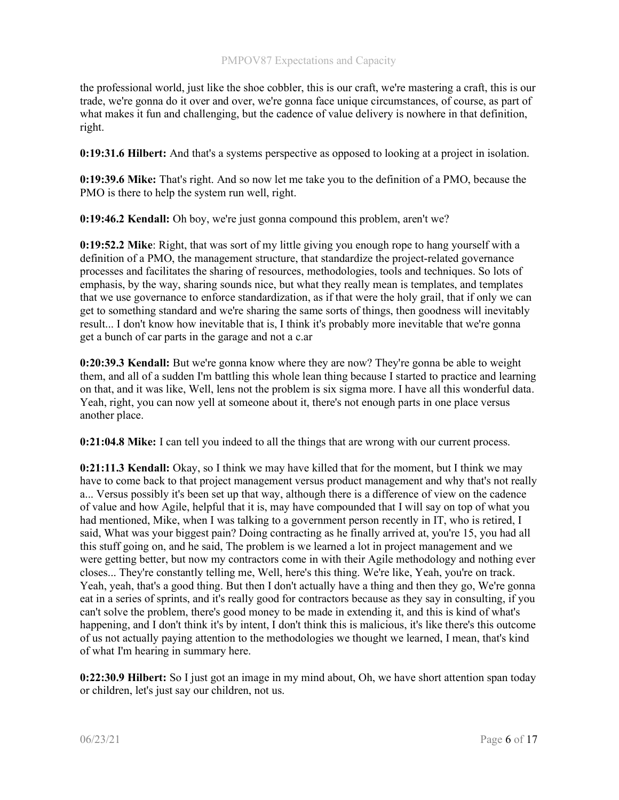the professional world, just like the shoe cobbler, this is our craft, we're mastering a craft, this is our trade, we're gonna do it over and over, we're gonna face unique circumstances, of course, as part of what makes it fun and challenging, but the cadence of value delivery is nowhere in that definition, right.

0:19:31.6 Hilbert: And that's a systems perspective as opposed to looking at a project in isolation.

0:19:39.6 Mike: That's right. And so now let me take you to the definition of a PMO, because the PMO is there to help the system run well, right.

0:19:46.2 Kendall: Oh boy, we're just gonna compound this problem, aren't we?

0:19:52.2 Mike: Right, that was sort of my little giving you enough rope to hang yourself with a definition of a PMO, the management structure, that standardize the project-related governance processes and facilitates the sharing of resources, methodologies, tools and techniques. So lots of emphasis, by the way, sharing sounds nice, but what they really mean is templates, and templates that we use governance to enforce standardization, as if that were the holy grail, that if only we can get to something standard and we're sharing the same sorts of things, then goodness will inevitably result... I don't know how inevitable that is, I think it's probably more inevitable that we're gonna get a bunch of car parts in the garage and not a c.ar

0:20:39.3 Kendall: But we're gonna know where they are now? They're gonna be able to weight them, and all of a sudden I'm battling this whole lean thing because I started to practice and learning on that, and it was like, Well, lens not the problem is six sigma more. I have all this wonderful data. Yeah, right, you can now yell at someone about it, there's not enough parts in one place versus another place.

0:21:04.8 Mike: I can tell you indeed to all the things that are wrong with our current process.

0:21:11.3 Kendall: Okay, so I think we may have killed that for the moment, but I think we may have to come back to that project management versus product management and why that's not really a... Versus possibly it's been set up that way, although there is a difference of view on the cadence of value and how Agile, helpful that it is, may have compounded that I will say on top of what you had mentioned, Mike, when I was talking to a government person recently in IT, who is retired, I said, What was your biggest pain? Doing contracting as he finally arrived at, you're 15, you had all this stuff going on, and he said, The problem is we learned a lot in project management and we were getting better, but now my contractors come in with their Agile methodology and nothing ever closes... They're constantly telling me, Well, here's this thing. We're like, Yeah, you're on track. Yeah, yeah, that's a good thing. But then I don't actually have a thing and then they go, We're gonna eat in a series of sprints, and it's really good for contractors because as they say in consulting, if you can't solve the problem, there's good money to be made in extending it, and this is kind of what's happening, and I don't think it's by intent, I don't think this is malicious, it's like there's this outcome of us not actually paying attention to the methodologies we thought we learned, I mean, that's kind of what I'm hearing in summary here.

0:22:30.9 Hilbert: So I just got an image in my mind about, Oh, we have short attention span today or children, let's just say our children, not us.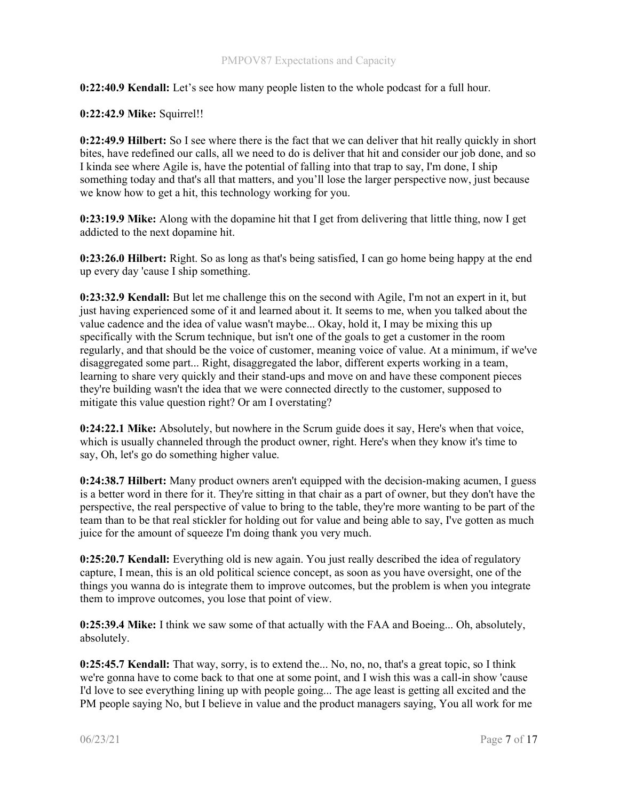0:22:40.9 Kendall: Let's see how many people listen to the whole podcast for a full hour.

# 0:22:42.9 Mike: Squirrel!!

0:22:49.9 Hilbert: So I see where there is the fact that we can deliver that hit really quickly in short bites, have redefined our calls, all we need to do is deliver that hit and consider our job done, and so I kinda see where Agile is, have the potential of falling into that trap to say, I'm done, I ship something today and that's all that matters, and you'll lose the larger perspective now, just because we know how to get a hit, this technology working for you.

0:23:19.9 Mike: Along with the dopamine hit that I get from delivering that little thing, now I get addicted to the next dopamine hit.

0:23:26.0 Hilbert: Right. So as long as that's being satisfied, I can go home being happy at the end up every day 'cause I ship something.

0:23:32.9 Kendall: But let me challenge this on the second with Agile, I'm not an expert in it, but just having experienced some of it and learned about it. It seems to me, when you talked about the value cadence and the idea of value wasn't maybe... Okay, hold it, I may be mixing this up specifically with the Scrum technique, but isn't one of the goals to get a customer in the room regularly, and that should be the voice of customer, meaning voice of value. At a minimum, if we've disaggregated some part... Right, disaggregated the labor, different experts working in a team, learning to share very quickly and their stand-ups and move on and have these component pieces they're building wasn't the idea that we were connected directly to the customer, supposed to mitigate this value question right? Or am I overstating?

0:24:22.1 Mike: Absolutely, but nowhere in the Scrum guide does it say, Here's when that voice, which is usually channeled through the product owner, right. Here's when they know it's time to say, Oh, let's go do something higher value.

0:24:38.7 Hilbert: Many product owners aren't equipped with the decision-making acumen, I guess is a better word in there for it. They're sitting in that chair as a part of owner, but they don't have the perspective, the real perspective of value to bring to the table, they're more wanting to be part of the team than to be that real stickler for holding out for value and being able to say, I've gotten as much juice for the amount of squeeze I'm doing thank you very much.

0:25:20.7 Kendall: Everything old is new again. You just really described the idea of regulatory capture, I mean, this is an old political science concept, as soon as you have oversight, one of the things you wanna do is integrate them to improve outcomes, but the problem is when you integrate them to improve outcomes, you lose that point of view.

0:25:39.4 Mike: I think we saw some of that actually with the FAA and Boeing... Oh, absolutely, absolutely.

0:25:45.7 Kendall: That way, sorry, is to extend the... No, no, no, that's a great topic, so I think we're gonna have to come back to that one at some point, and I wish this was a call-in show 'cause I'd love to see everything lining up with people going... The age least is getting all excited and the PM people saying No, but I believe in value and the product managers saying, You all work for me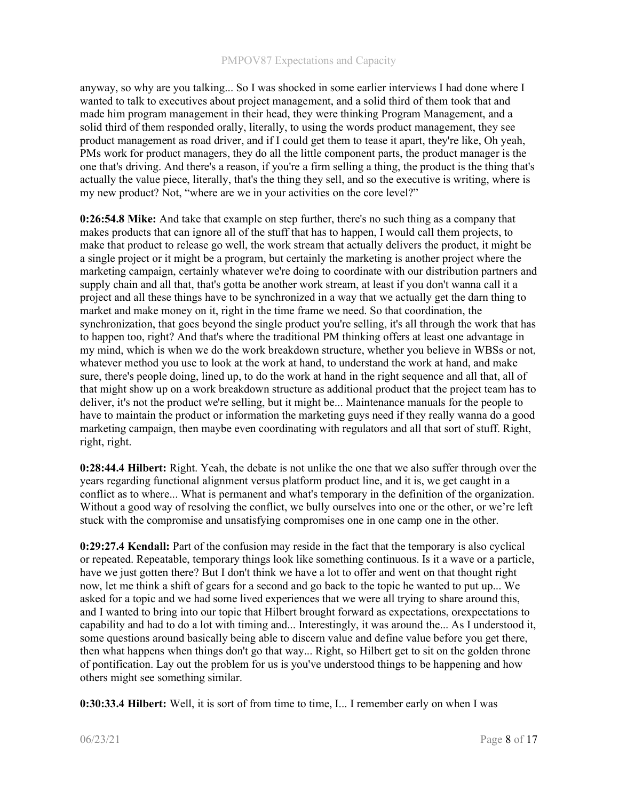anyway, so why are you talking... So I was shocked in some earlier interviews I had done where I wanted to talk to executives about project management, and a solid third of them took that and made him program management in their head, they were thinking Program Management, and a solid third of them responded orally, literally, to using the words product management, they see product management as road driver, and if I could get them to tease it apart, they're like, Oh yeah, PMs work for product managers, they do all the little component parts, the product manager is the one that's driving. And there's a reason, if you're a firm selling a thing, the product is the thing that's actually the value piece, literally, that's the thing they sell, and so the executive is writing, where is my new product? Not, "where are we in your activities on the core level?"

0:26:54.8 Mike: And take that example on step further, there's no such thing as a company that makes products that can ignore all of the stuff that has to happen, I would call them projects, to make that product to release go well, the work stream that actually delivers the product, it might be a single project or it might be a program, but certainly the marketing is another project where the marketing campaign, certainly whatever we're doing to coordinate with our distribution partners and supply chain and all that, that's gotta be another work stream, at least if you don't wanna call it a project and all these things have to be synchronized in a way that we actually get the darn thing to market and make money on it, right in the time frame we need. So that coordination, the synchronization, that goes beyond the single product you're selling, it's all through the work that has to happen too, right? And that's where the traditional PM thinking offers at least one advantage in my mind, which is when we do the work breakdown structure, whether you believe in WBSs or not, whatever method you use to look at the work at hand, to understand the work at hand, and make sure, there's people doing, lined up, to do the work at hand in the right sequence and all that, all of that might show up on a work breakdown structure as additional product that the project team has to deliver, it's not the product we're selling, but it might be... Maintenance manuals for the people to have to maintain the product or information the marketing guys need if they really wanna do a good marketing campaign, then maybe even coordinating with regulators and all that sort of stuff. Right, right, right.

0:28:44.4 Hilbert: Right. Yeah, the debate is not unlike the one that we also suffer through over the years regarding functional alignment versus platform product line, and it is, we get caught in a conflict as to where... What is permanent and what's temporary in the definition of the organization. Without a good way of resolving the conflict, we bully ourselves into one or the other, or we're left stuck with the compromise and unsatisfying compromises one in one camp one in the other.

0:29:27.4 Kendall: Part of the confusion may reside in the fact that the temporary is also cyclical or repeated. Repeatable, temporary things look like something continuous. Is it a wave or a particle, have we just gotten there? But I don't think we have a lot to offer and went on that thought right now, let me think a shift of gears for a second and go back to the topic he wanted to put up... We asked for a topic and we had some lived experiences that we were all trying to share around this, and I wanted to bring into our topic that Hilbert brought forward as expectations, orexpectations to capability and had to do a lot with timing and... Interestingly, it was around the... As I understood it, some questions around basically being able to discern value and define value before you get there, then what happens when things don't go that way... Right, so Hilbert get to sit on the golden throne of pontification. Lay out the problem for us is you've understood things to be happening and how others might see something similar.

0:30:33.4 Hilbert: Well, it is sort of from time to time, I... I remember early on when I was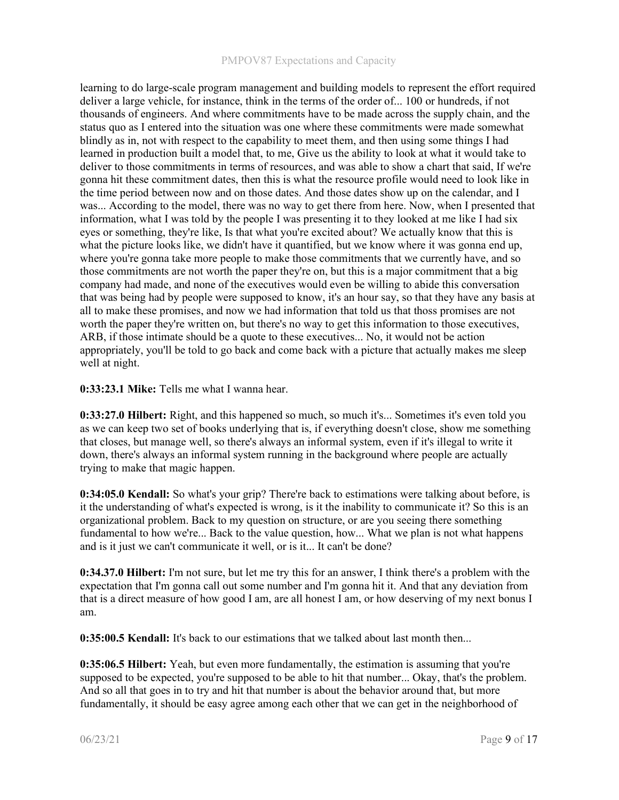learning to do large-scale program management and building models to represent the effort required deliver a large vehicle, for instance, think in the terms of the order of... 100 or hundreds, if not thousands of engineers. And where commitments have to be made across the supply chain, and the status quo as I entered into the situation was one where these commitments were made somewhat blindly as in, not with respect to the capability to meet them, and then using some things I had learned in production built a model that, to me, Give us the ability to look at what it would take to deliver to those commitments in terms of resources, and was able to show a chart that said, If we're gonna hit these commitment dates, then this is what the resource profile would need to look like in the time period between now and on those dates. And those dates show up on the calendar, and I was... According to the model, there was no way to get there from here. Now, when I presented that information, what I was told by the people I was presenting it to they looked at me like I had six eyes or something, they're like, Is that what you're excited about? We actually know that this is what the picture looks like, we didn't have it quantified, but we know where it was gonna end up, where you're gonna take more people to make those commitments that we currently have, and so those commitments are not worth the paper they're on, but this is a major commitment that a big company had made, and none of the executives would even be willing to abide this conversation that was being had by people were supposed to know, it's an hour say, so that they have any basis at all to make these promises, and now we had information that told us that thoss promises are not worth the paper they're written on, but there's no way to get this information to those executives, ARB, if those intimate should be a quote to these executives... No, it would not be action appropriately, you'll be told to go back and come back with a picture that actually makes me sleep well at night.

0:33:23.1 Mike: Tells me what I wanna hear.

0:33:27.0 Hilbert: Right, and this happened so much, so much it's... Sometimes it's even told you as we can keep two set of books underlying that is, if everything doesn't close, show me something that closes, but manage well, so there's always an informal system, even if it's illegal to write it down, there's always an informal system running in the background where people are actually trying to make that magic happen.

0:34:05.0 Kendall: So what's your grip? There're back to estimations were talking about before, is it the understanding of what's expected is wrong, is it the inability to communicate it? So this is an organizational problem. Back to my question on structure, or are you seeing there something fundamental to how we're... Back to the value question, how... What we plan is not what happens and is it just we can't communicate it well, or is it... It can't be done?

0:34.37.0 Hilbert: I'm not sure, but let me try this for an answer, I think there's a problem with the expectation that I'm gonna call out some number and I'm gonna hit it. And that any deviation from that is a direct measure of how good I am, are all honest I am, or how deserving of my next bonus I am.

0:35:00.5 Kendall: It's back to our estimations that we talked about last month then...

0:35:06.5 Hilbert: Yeah, but even more fundamentally, the estimation is assuming that you're supposed to be expected, you're supposed to be able to hit that number... Okay, that's the problem. And so all that goes in to try and hit that number is about the behavior around that, but more fundamentally, it should be easy agree among each other that we can get in the neighborhood of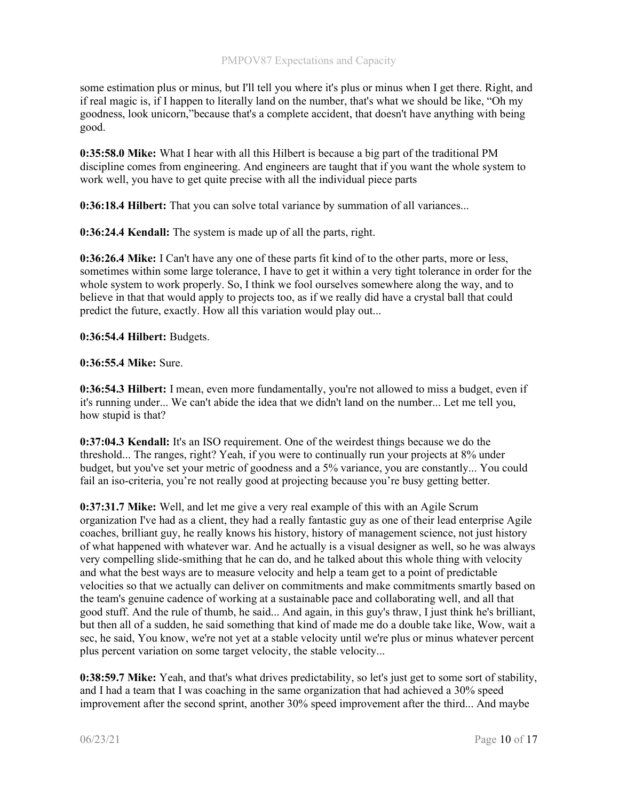some estimation plus or minus, but I'll tell you where it's plus or minus when I get there. Right, and if real magic is, if I happen to literally land on the number, that's what we should be like, "Oh my goodness, look unicorn,"because that's a complete accident, that doesn't have anything with being good.

0:35:58.0 Mike: What I hear with all this Hilbert is because a big part of the traditional PM discipline comes from engineering. And engineers are taught that if you want the whole system to work well, you have to get quite precise with all the individual piece parts

0:36:18.4 Hilbert: That you can solve total variance by summation of all variances...

0:36:24.4 Kendall: The system is made up of all the parts, right.

0:36:26.4 Mike: I Can't have any one of these parts fit kind of to the other parts, more or less, sometimes within some large tolerance, I have to get it within a very tight tolerance in order for the whole system to work properly. So, I think we fool ourselves somewhere along the way, and to believe in that that would apply to projects too, as if we really did have a crystal ball that could predict the future, exactly. How all this variation would play out...

# 0:36:54.4 Hilbert: Budgets.

# 0:36:55.4 Mike: Sure.

0:36:54.3 Hilbert: I mean, even more fundamentally, you're not allowed to miss a budget, even if it's running under... We can't abide the idea that we didn't land on the number... Let me tell you, how stupid is that?

0:37:04.3 Kendall: It's an ISO requirement. One of the weirdest things because we do the threshold... The ranges, right? Yeah, if you were to continually run your projects at 8% under budget, but you've set your metric of goodness and a 5% variance, you are constantly... You could fail an iso-criteria, you're not really good at projecting because you're busy getting better.

0:37:31.7 Mike: Well, and let me give a very real example of this with an Agile Scrum organization I've had as a client, they had a really fantastic guy as one of their lead enterprise Agile coaches, brilliant guy, he really knows his history, history of management science, not just history of what happened with whatever war. And he actually is a visual designer as well, so he was always very compelling slide-smithing that he can do, and he talked about this whole thing with velocity and what the best ways are to measure velocity and help a team get to a point of predictable velocities so that we actually can deliver on commitments and make commitments smartly based on the team's genuine cadence of working at a sustainable pace and collaborating well, and all that good stuff. And the rule of thumb, he said... And again, in this guy's thraw, I just think he's brilliant, but then all of a sudden, he said something that kind of made me do a double take like, Wow, wait a sec, he said, You know, we're not yet at a stable velocity until we're plus or minus whatever percent plus percent variation on some target velocity, the stable velocity...

0:38:59.7 Mike: Yeah, and that's what drives predictability, so let's just get to some sort of stability, and I had a team that I was coaching in the same organization that had achieved a 30% speed improvement after the second sprint, another 30% speed improvement after the third... And maybe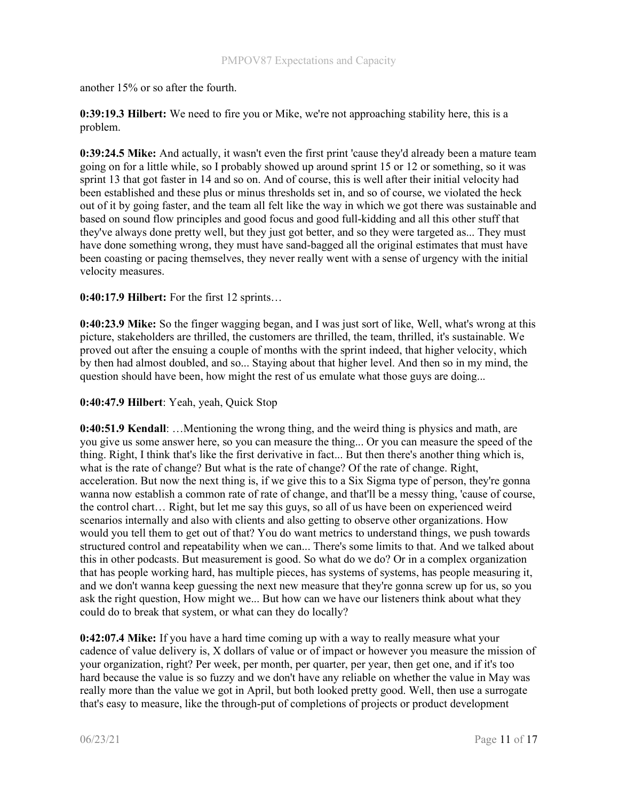another 15% or so after the fourth.

0:39:19.3 Hilbert: We need to fire you or Mike, we're not approaching stability here, this is a problem.

0:39:24.5 Mike: And actually, it wasn't even the first print 'cause they'd already been a mature team going on for a little while, so I probably showed up around sprint 15 or 12 or something, so it was sprint 13 that got faster in 14 and so on. And of course, this is well after their initial velocity had been established and these plus or minus thresholds set in, and so of course, we violated the heck out of it by going faster, and the team all felt like the way in which we got there was sustainable and based on sound flow principles and good focus and good full-kidding and all this other stuff that they've always done pretty well, but they just got better, and so they were targeted as... They must have done something wrong, they must have sand-bagged all the original estimates that must have been coasting or pacing themselves, they never really went with a sense of urgency with the initial velocity measures.

## 0:40:17.9 Hilbert: For the first 12 sprints…

0:40:23.9 Mike: So the finger wagging began, and I was just sort of like, Well, what's wrong at this picture, stakeholders are thrilled, the customers are thrilled, the team, thrilled, it's sustainable. We proved out after the ensuing a couple of months with the sprint indeed, that higher velocity, which by then had almost doubled, and so... Staying about that higher level. And then so in my mind, the question should have been, how might the rest of us emulate what those guys are doing...

# 0:40:47.9 Hilbert: Yeah, yeah, Quick Stop

0:40:51.9 Kendall: …Mentioning the wrong thing, and the weird thing is physics and math, are you give us some answer here, so you can measure the thing... Or you can measure the speed of the thing. Right, I think that's like the first derivative in fact... But then there's another thing which is, what is the rate of change? But what is the rate of change? Of the rate of change. Right, acceleration. But now the next thing is, if we give this to a Six Sigma type of person, they're gonna wanna now establish a common rate of rate of change, and that'll be a messy thing, 'cause of course, the control chart… Right, but let me say this guys, so all of us have been on experienced weird scenarios internally and also with clients and also getting to observe other organizations. How would you tell them to get out of that? You do want metrics to understand things, we push towards structured control and repeatability when we can... There's some limits to that. And we talked about this in other podcasts. But measurement is good. So what do we do? Or in a complex organization that has people working hard, has multiple pieces, has systems of systems, has people measuring it, and we don't wanna keep guessing the next new measure that they're gonna screw up for us, so you ask the right question, How might we... But how can we have our listeners think about what they could do to break that system, or what can they do locally?

0:42:07.4 Mike: If you have a hard time coming up with a way to really measure what your cadence of value delivery is, X dollars of value or of impact or however you measure the mission of your organization, right? Per week, per month, per quarter, per year, then get one, and if it's too hard because the value is so fuzzy and we don't have any reliable on whether the value in May was really more than the value we got in April, but both looked pretty good. Well, then use a surrogate that's easy to measure, like the through-put of completions of projects or product development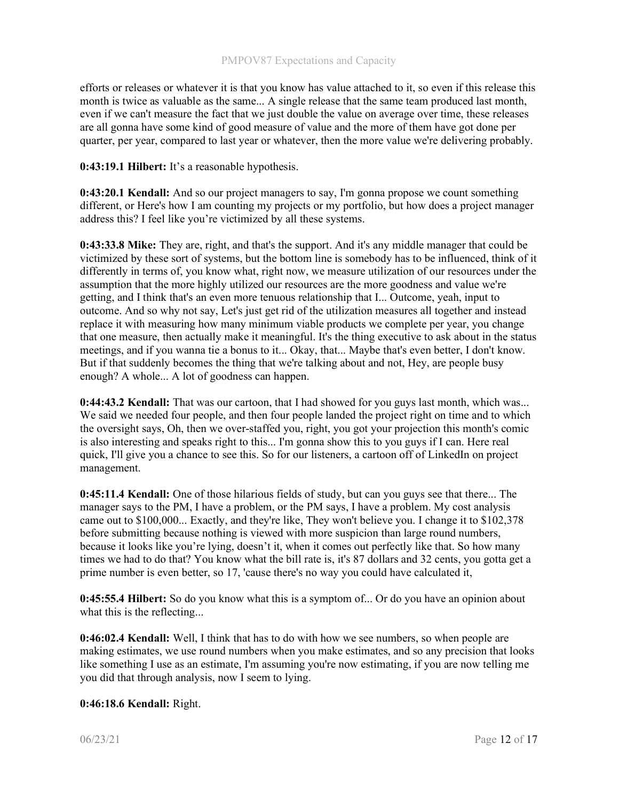efforts or releases or whatever it is that you know has value attached to it, so even if this release this month is twice as valuable as the same... A single release that the same team produced last month, even if we can't measure the fact that we just double the value on average over time, these releases are all gonna have some kind of good measure of value and the more of them have got done per quarter, per year, compared to last year or whatever, then the more value we're delivering probably.

0:43:19.1 Hilbert: It's a reasonable hypothesis.

0:43:20.1 Kendall: And so our project managers to say, I'm gonna propose we count something different, or Here's how I am counting my projects or my portfolio, but how does a project manager address this? I feel like you're victimized by all these systems.

0:43:33.8 Mike: They are, right, and that's the support. And it's any middle manager that could be victimized by these sort of systems, but the bottom line is somebody has to be influenced, think of it differently in terms of, you know what, right now, we measure utilization of our resources under the assumption that the more highly utilized our resources are the more goodness and value we're getting, and I think that's an even more tenuous relationship that I... Outcome, yeah, input to outcome. And so why not say, Let's just get rid of the utilization measures all together and instead replace it with measuring how many minimum viable products we complete per year, you change that one measure, then actually make it meaningful. It's the thing executive to ask about in the status meetings, and if you wanna tie a bonus to it... Okay, that... Maybe that's even better, I don't know. But if that suddenly becomes the thing that we're talking about and not, Hey, are people busy enough? A whole... A lot of goodness can happen.

0:44:43.2 Kendall: That was our cartoon, that I had showed for you guys last month, which was... We said we needed four people, and then four people landed the project right on time and to which the oversight says, Oh, then we over-staffed you, right, you got your projection this month's comic is also interesting and speaks right to this... I'm gonna show this to you guys if I can. Here real quick, I'll give you a chance to see this. So for our listeners, a cartoon off of LinkedIn on project management.

0:45:11.4 Kendall: One of those hilarious fields of study, but can you guys see that there... The manager says to the PM, I have a problem, or the PM says, I have a problem. My cost analysis came out to \$100,000... Exactly, and they're like, They won't believe you. I change it to \$102,378 before submitting because nothing is viewed with more suspicion than large round numbers, because it looks like you're lying, doesn't it, when it comes out perfectly like that. So how many times we had to do that? You know what the bill rate is, it's 87 dollars and 32 cents, you gotta get a prime number is even better, so 17, 'cause there's no way you could have calculated it,

0:45:55.4 Hilbert: So do you know what this is a symptom of... Or do you have an opinion about what this is the reflecting...

0:46:02.4 Kendall: Well, I think that has to do with how we see numbers, so when people are making estimates, we use round numbers when you make estimates, and so any precision that looks like something I use as an estimate, I'm assuming you're now estimating, if you are now telling me you did that through analysis, now I seem to lying.

0:46:18.6 Kendall: Right.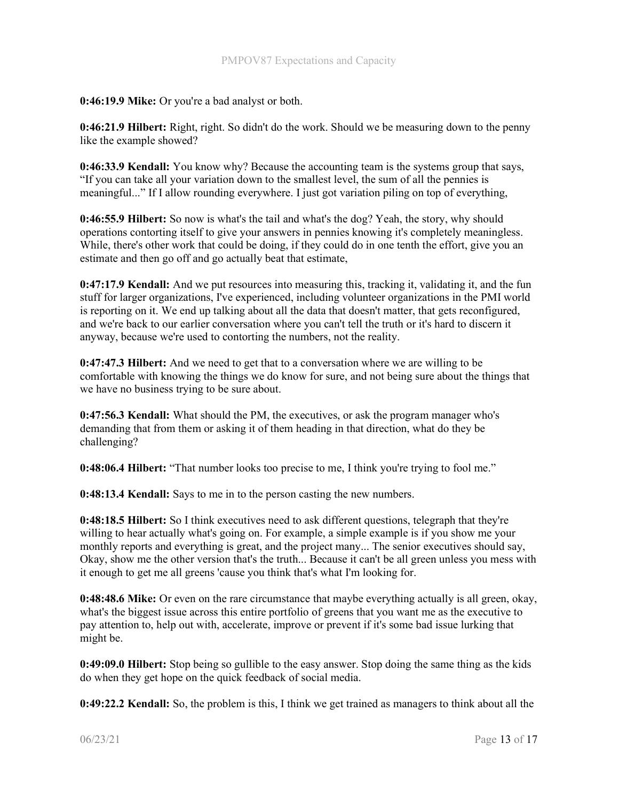0:46:19.9 Mike: Or you're a bad analyst or both.

0:46:21.9 Hilbert: Right, right. So didn't do the work. Should we be measuring down to the penny like the example showed?

0:46:33.9 Kendall: You know why? Because the accounting team is the systems group that says, "If you can take all your variation down to the smallest level, the sum of all the pennies is meaningful..." If I allow rounding everywhere. I just got variation piling on top of everything,

0:46:55.9 Hilbert: So now is what's the tail and what's the dog? Yeah, the story, why should operations contorting itself to give your answers in pennies knowing it's completely meaningless. While, there's other work that could be doing, if they could do in one tenth the effort, give you an estimate and then go off and go actually beat that estimate,

0:47:17.9 Kendall: And we put resources into measuring this, tracking it, validating it, and the fun stuff for larger organizations, I've experienced, including volunteer organizations in the PMI world is reporting on it. We end up talking about all the data that doesn't matter, that gets reconfigured, and we're back to our earlier conversation where you can't tell the truth or it's hard to discern it anyway, because we're used to contorting the numbers, not the reality.

0:47:47.3 Hilbert: And we need to get that to a conversation where we are willing to be comfortable with knowing the things we do know for sure, and not being sure about the things that we have no business trying to be sure about.

0:47:56.3 Kendall: What should the PM, the executives, or ask the program manager who's demanding that from them or asking it of them heading in that direction, what do they be challenging?

0:48:06.4 Hilbert: "That number looks too precise to me, I think you're trying to fool me."

0:48:13.4 Kendall: Says to me in to the person casting the new numbers.

0:48:18.5 Hilbert: So I think executives need to ask different questions, telegraph that they're willing to hear actually what's going on. For example, a simple example is if you show me your monthly reports and everything is great, and the project many... The senior executives should say, Okay, show me the other version that's the truth... Because it can't be all green unless you mess with it enough to get me all greens 'cause you think that's what I'm looking for.

0:48:48.6 Mike: Or even on the rare circumstance that maybe everything actually is all green, okay, what's the biggest issue across this entire portfolio of greens that you want me as the executive to pay attention to, help out with, accelerate, improve or prevent if it's some bad issue lurking that might be.

0:49:09.0 Hilbert: Stop being so gullible to the easy answer. Stop doing the same thing as the kids do when they get hope on the quick feedback of social media.

0:49:22.2 Kendall: So, the problem is this, I think we get trained as managers to think about all the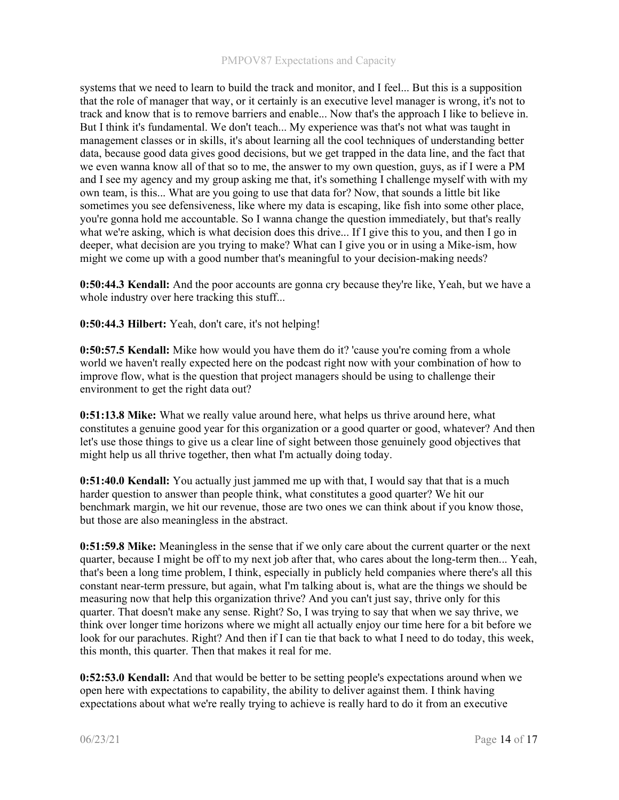systems that we need to learn to build the track and monitor, and I feel... But this is a supposition that the role of manager that way, or it certainly is an executive level manager is wrong, it's not to track and know that is to remove barriers and enable... Now that's the approach I like to believe in. But I think it's fundamental. We don't teach... My experience was that's not what was taught in management classes or in skills, it's about learning all the cool techniques of understanding better data, because good data gives good decisions, but we get trapped in the data line, and the fact that we even wanna know all of that so to me, the answer to my own question, guys, as if I were a PM and I see my agency and my group asking me that, it's something I challenge myself with with my own team, is this... What are you going to use that data for? Now, that sounds a little bit like sometimes you see defensiveness, like where my data is escaping, like fish into some other place, you're gonna hold me accountable. So I wanna change the question immediately, but that's really what we're asking, which is what decision does this drive... If I give this to you, and then I go in deeper, what decision are you trying to make? What can I give you or in using a Mike-ism, how might we come up with a good number that's meaningful to your decision-making needs?

0:50:44.3 Kendall: And the poor accounts are gonna cry because they're like, Yeah, but we have a whole industry over here tracking this stuff...

0:50:44.3 Hilbert: Yeah, don't care, it's not helping!

0:50:57.5 Kendall: Mike how would you have them do it? 'cause you're coming from a whole world we haven't really expected here on the podcast right now with your combination of how to improve flow, what is the question that project managers should be using to challenge their environment to get the right data out?

0:51:13.8 Mike: What we really value around here, what helps us thrive around here, what constitutes a genuine good year for this organization or a good quarter or good, whatever? And then let's use those things to give us a clear line of sight between those genuinely good objectives that might help us all thrive together, then what I'm actually doing today.

0:51:40.0 Kendall: You actually just jammed me up with that, I would say that that is a much harder question to answer than people think, what constitutes a good quarter? We hit our benchmark margin, we hit our revenue, those are two ones we can think about if you know those, but those are also meaningless in the abstract.

0:51:59.8 Mike: Meaningless in the sense that if we only care about the current quarter or the next quarter, because I might be off to my next job after that, who cares about the long-term then... Yeah, that's been a long time problem, I think, especially in publicly held companies where there's all this constant near-term pressure, but again, what I'm talking about is, what are the things we should be measuring now that help this organization thrive? And you can't just say, thrive only for this quarter. That doesn't make any sense. Right? So, I was trying to say that when we say thrive, we think over longer time horizons where we might all actually enjoy our time here for a bit before we look for our parachutes. Right? And then if I can tie that back to what I need to do today, this week, this month, this quarter. Then that makes it real for me.

0:52:53.0 Kendall: And that would be better to be setting people's expectations around when we open here with expectations to capability, the ability to deliver against them. I think having expectations about what we're really trying to achieve is really hard to do it from an executive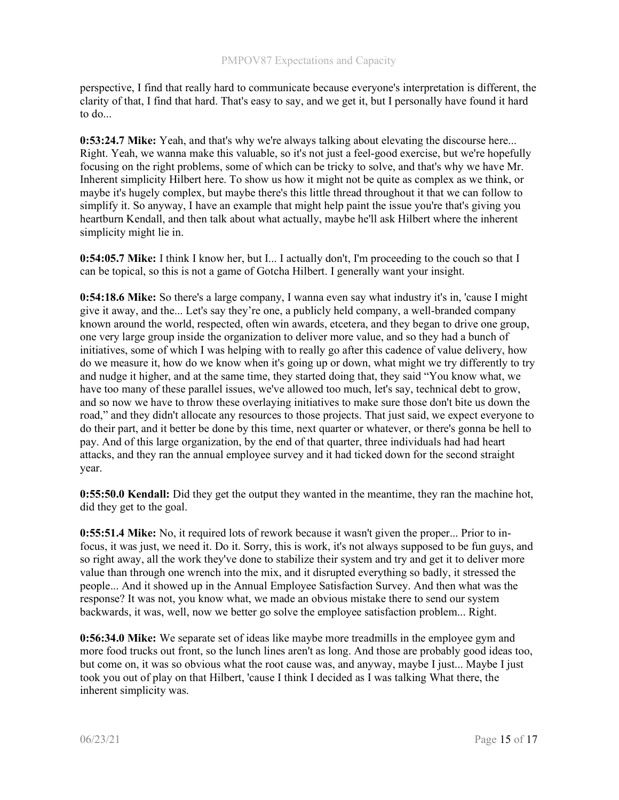perspective, I find that really hard to communicate because everyone's interpretation is different, the clarity of that, I find that hard. That's easy to say, and we get it, but I personally have found it hard to do...

0:53:24.7 Mike: Yeah, and that's why we're always talking about elevating the discourse here... Right. Yeah, we wanna make this valuable, so it's not just a feel-good exercise, but we're hopefully focusing on the right problems, some of which can be tricky to solve, and that's why we have Mr. Inherent simplicity Hilbert here. To show us how it might not be quite as complex as we think, or maybe it's hugely complex, but maybe there's this little thread throughout it that we can follow to simplify it. So anyway, I have an example that might help paint the issue you're that's giving you heartburn Kendall, and then talk about what actually, maybe he'll ask Hilbert where the inherent simplicity might lie in.

0:54:05.7 Mike: I think I know her, but I... I actually don't, I'm proceeding to the couch so that I can be topical, so this is not a game of Gotcha Hilbert. I generally want your insight.

0:54:18.6 Mike: So there's a large company, I wanna even say what industry it's in, 'cause I might give it away, and the... Let's say they're one, a publicly held company, a well-branded company known around the world, respected, often win awards, etcetera, and they began to drive one group, one very large group inside the organization to deliver more value, and so they had a bunch of initiatives, some of which I was helping with to really go after this cadence of value delivery, how do we measure it, how do we know when it's going up or down, what might we try differently to try and nudge it higher, and at the same time, they started doing that, they said "You know what, we have too many of these parallel issues, we've allowed too much, let's say, technical debt to grow, and so now we have to throw these overlaying initiatives to make sure those don't bite us down the road," and they didn't allocate any resources to those projects. That just said, we expect everyone to do their part, and it better be done by this time, next quarter or whatever, or there's gonna be hell to pay. And of this large organization, by the end of that quarter, three individuals had had heart attacks, and they ran the annual employee survey and it had ticked down for the second straight year.

0:55:50.0 Kendall: Did they get the output they wanted in the meantime, they ran the machine hot, did they get to the goal.

0:55:51.4 Mike: No, it required lots of rework because it wasn't given the proper... Prior to infocus, it was just, we need it. Do it. Sorry, this is work, it's not always supposed to be fun guys, and so right away, all the work they've done to stabilize their system and try and get it to deliver more value than through one wrench into the mix, and it disrupted everything so badly, it stressed the people... And it showed up in the Annual Employee Satisfaction Survey. And then what was the response? It was not, you know what, we made an obvious mistake there to send our system backwards, it was, well, now we better go solve the employee satisfaction problem... Right.

0:56:34.0 Mike: We separate set of ideas like maybe more treadmills in the employee gym and more food trucks out front, so the lunch lines aren't as long. And those are probably good ideas too, but come on, it was so obvious what the root cause was, and anyway, maybe I just... Maybe I just took you out of play on that Hilbert, 'cause I think I decided as I was talking What there, the inherent simplicity was.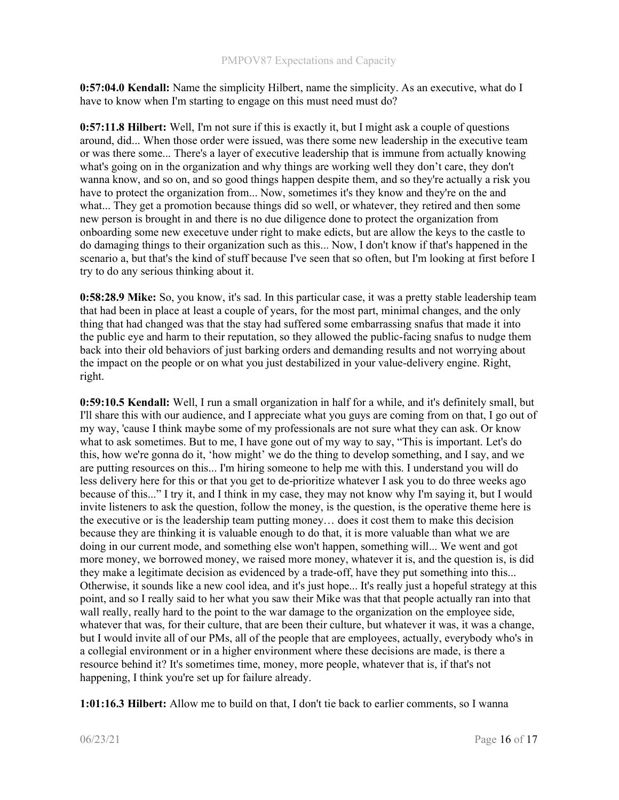0:57:04.0 Kendall: Name the simplicity Hilbert, name the simplicity. As an executive, what do I have to know when I'm starting to engage on this must need must do?

0:57:11.8 Hilbert: Well, I'm not sure if this is exactly it, but I might ask a couple of questions around, did... When those order were issued, was there some new leadership in the executive team or was there some... There's a layer of executive leadership that is immune from actually knowing what's going on in the organization and why things are working well they don't care, they don't wanna know, and so on, and so good things happen despite them, and so they're actually a risk you have to protect the organization from... Now, sometimes it's they know and they're on the and what... They get a promotion because things did so well, or whatever, they retired and then some new person is brought in and there is no due diligence done to protect the organization from onboarding some new execetuve under right to make edicts, but are allow the keys to the castle to do damaging things to their organization such as this... Now, I don't know if that's happened in the scenario a, but that's the kind of stuff because I've seen that so often, but I'm looking at first before I try to do any serious thinking about it.

0:58:28.9 Mike: So, you know, it's sad. In this particular case, it was a pretty stable leadership team that had been in place at least a couple of years, for the most part, minimal changes, and the only thing that had changed was that the stay had suffered some embarrassing snafus that made it into the public eye and harm to their reputation, so they allowed the public-facing snafus to nudge them back into their old behaviors of just barking orders and demanding results and not worrying about the impact on the people or on what you just destabilized in your value-delivery engine. Right, right.

0:59:10.5 Kendall: Well, I run a small organization in half for a while, and it's definitely small, but I'll share this with our audience, and I appreciate what you guys are coming from on that, I go out of my way, 'cause I think maybe some of my professionals are not sure what they can ask. Or know what to ask sometimes. But to me, I have gone out of my way to say, "This is important. Let's do this, how we're gonna do it, 'how might' we do the thing to develop something, and I say, and we are putting resources on this... I'm hiring someone to help me with this. I understand you will do less delivery here for this or that you get to de-prioritize whatever I ask you to do three weeks ago because of this..." I try it, and I think in my case, they may not know why I'm saying it, but I would invite listeners to ask the question, follow the money, is the question, is the operative theme here is the executive or is the leadership team putting money… does it cost them to make this decision because they are thinking it is valuable enough to do that, it is more valuable than what we are doing in our current mode, and something else won't happen, something will... We went and got more money, we borrowed money, we raised more money, whatever it is, and the question is, is did they make a legitimate decision as evidenced by a trade-off, have they put something into this... Otherwise, it sounds like a new cool idea, and it's just hope... It's really just a hopeful strategy at this point, and so I really said to her what you saw their Mike was that that people actually ran into that wall really, really hard to the point to the war damage to the organization on the employee side, whatever that was, for their culture, that are been their culture, but whatever it was, it was a change, but I would invite all of our PMs, all of the people that are employees, actually, everybody who's in a collegial environment or in a higher environment where these decisions are made, is there a resource behind it? It's sometimes time, money, more people, whatever that is, if that's not happening, I think you're set up for failure already.

1:01:16.3 Hilbert: Allow me to build on that, I don't tie back to earlier comments, so I wanna